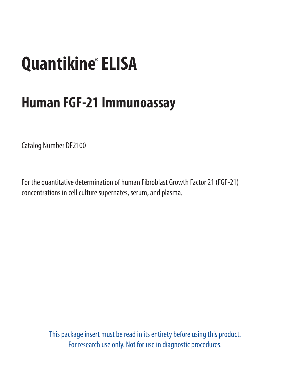# **Quantikine®ELISA**

## **Human FGF-21 Immunoassay**

Catalog Number DF2100

For the quantitative determination of human Fibroblast Growth Factor 21 (FGF-21) concentrations in cell culture supernates, serum, and plasma.

> This package insert must be read in its entirety before using this product. For research use only. Not for use in diagnostic procedures.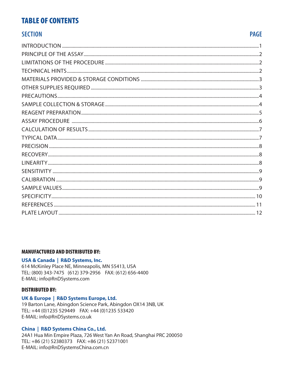#### **TABLE OF CONTENTS**

#### **SECTION**

#### **PAGE**

| <b>ASSAY PROCEDURE</b> |
|------------------------|
|                        |
|                        |
|                        |
|                        |
|                        |
|                        |
|                        |
|                        |
|                        |
|                        |
|                        |
|                        |

#### **MANUFACTURED AND DISTRIBUTED BY:**

#### USA & Canada | R&D Systems, Inc.

614 McKinley Place NE, Minneapolis, MN 55413, USA TEL: (800) 343-7475 (612) 379-2956 FAX: (612) 656-4400 E-MAIL: info@RnDSystems.com

#### **DISTRIBUTED BY:**

#### UK & Europe | R&D Systems Europe, Ltd.

19 Barton Lane, Abingdon Science Park, Abingdon OX14 3NB, UK TEL: +44 (0)1235 529449 FAX: +44 (0)1235 533420 E-MAIL: info@RnDSystems.co.uk

#### China | R&D Systems China Co., Ltd.

24A1 Hua Min Empire Plaza, 726 West Yan An Road, Shanghai PRC 200050 TEL: +86 (21) 52380373 FAX: +86 (21) 52371001 E-MAIL: info@RnDSystemsChina.com.cn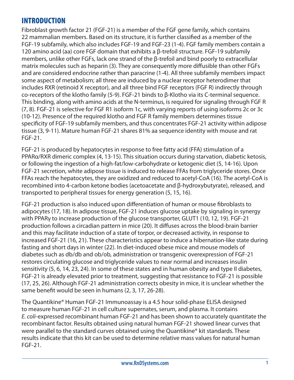#### INTRODUCTION

Fibroblast growth factor 21 (FGF-21) is a member of the FGF gene family, which contains 22 mammalian members. Based on its structure, it is further classified as a member of the FGF-19 subfamily, which also includes FGF-19 and FGF-23 (1-4). FGF family members contain a 120 amino acid (aa) core FGF domain that exhibits a β-trefoil structure. FGF-19 subfamily members, unlike other FGFs, lack one strand of the β-trefoil and bind poorly to extracellular matrix molecules such as heparin (3). They are consequently more diffusible than other FGFs and are considered endocrine rather than paracrine (1-4). All three subfamily members impact some aspect of metabolism; all three are induced by a nuclear receptor heterodimer that includes RXR (retinoid X receptor), and all three bind FGF receptors (FGF R) indirectly through co-receptors of the klotho family (5-9). FGF-21 binds to β-Klotho via its C-terminal sequence. This binding, along with amino acids at the N-terminus, is required for signaling through FGF R (7, 8). FGF-21 is selective for FGF R1 isoform 1c, with varying reports of using isoforms 2c or 3c (10-12). Presence of the required klotho and FGF R family members determines tissue specificity of FGF-19 subfamily members, and thus concentrates FGF-21 activity within adipose tissue (3, 9-11). Mature human FGF-21 shares 81% aa sequence identity with mouse and rat FGF-21.

FGF-21 is produced by hepatocytes in response to free fatty acid (FFA) stimulation of a PPARα/RXR dimeric complex (4, 13-15). This situation occurs during starvation, diabetic ketosis, or following the ingestion of a high-fat/low-carbohydrate or ketogenic diet (5, 14-16). Upon FGF-21 secretion, white adipose tissue is induced to release FFAs from triglyceride stores. Once FFAs reach the hepatocytes, they are oxidized and reduced to acetyl-CoA (16). The acetyl-CoA is recombined into 4-carbon ketone bodies (acetoacetate and β-hydroxybutyrate), released, and transported to peripheral tissues for energy generation (5, 15, 16).

FGF-21 production is also induced upon differentiation of human or mouse fibroblasts to adipocytes (17, 18). In adipose tissue, FGF-21 induces glucose uptake by signaling in synergy with PPARγ to increase production of the glucose transporter, GLUT1 (10, 12, 19). FGF-21 production follows a circadian pattern in mice (20). It diffuses across the blood-brain barrier and this may facilitate induction of a state of torpor, or decreased activity, in response to increased FGF-21 (16, 21). These characteristics appear to induce a hibernation-like state during fasting and short days in winter (22). In diet-induced obese mice and mouse models of diabetes such as db/db and ob/ob, administration or transgenic overexpression of FGF-21 restores circulating glucose and triglyceride values to near normal and increases insulin sensitivity (5, 6, 14, 23, 24). In some of these states and in human obesity and type II diabetes, FGF-21 is already elevated prior to treatment, suggesting that resistance to FGF-21 is possible (17, 25, 26). Although FGF-21 administration corrects obesity in mice, it is unclear whether the same benefit would be seen in humans (2, 3, 17, 26-28).

The Quantikine® Human FGF-21 Immunoassay is a 4.5 hour solid-phase ELISA designed to measure human FGF-21 in cell culture supernates, serum, and plasma. It contains *E. coli*-expressed recombinant human FGF-21 and has been shown to accurately quantitate the recombinant factor. Results obtained using natural human FGF-21 showed linear curves that were parallel to the standard curves obtained using the Quantikine® kit standards. These results indicate that this kit can be used to determine relative mass values for natural human FGF-21.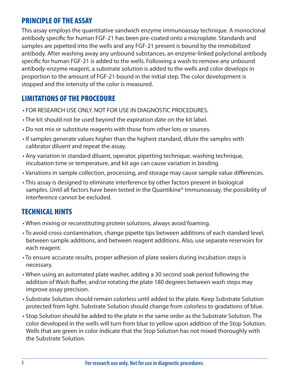#### PRINCIPLE OF THE ASSAY

This assay employs the quantitative sandwich enzyme immunoassay technique. A monoclonal antibody specific for human FGF-21 has been pre-coated onto a microplate. Standards and samples are pipetted into the wells and any FGF-21 present is bound by the immobilized antibody. After washing away any unbound substances, an enzyme-linked polyclonal antibody specific for human FGF-21 is added to the wells. Following a wash to remove any unbound antibody-enzyme reagent, a substrate solution is added to the wells and color develops in proportion to the amount of FGF-21 bound in the initial step. The color development is stopped and the intensity of the color is measured.

## LIMITATIONS OF THE PROCEDURE

- FOR RESEARCH USE ONLY. NOT FOR USE IN DIAGNOSTIC PROCEDURES.
- The kit should not be used beyond the expiration date on the kit label.
- Do not mix or substitute reagents with those from other lots or sources.
- If samples generate values higher than the highest standard, dilute the samples with calibrator diluent and repeat the assay.
- Any variation in standard diluent, operator, pipetting technique, washing technique, incubation time or temperature, and kit age can cause variation in binding.
- Variations in sample collection, processing, and storage may cause sample value differences.
- This assay is designed to eliminate interference by other factors present in biological samples. Until all factors have been tested in the Quantikine® Immunoassay, the possibility of interference cannot be excluded.

## TECHNICAL HINTS

- When mixing or reconstituting protein solutions, always avoid foaming.
- To avoid cross-contamination, change pipette tips between additions of each standard level, between sample additions, and between reagent additions. Also, use separate reservoirs for each reagent.
- To ensure accurate results, proper adhesion of plate sealers during incubation steps is necessary.
- When using an automated plate washer, adding a 30 second soak period following the addition of Wash Buffer, and/or rotating the plate 180 degrees between wash steps may improve assay precision.
- Substrate Solution should remain colorless until added to the plate. Keep Substrate Solution protected from light. Substrate Solution should change from colorless to gradations of blue.
- Stop Solution should be added to the plate in the same order as the Substrate Solution. The color developed in the wells will turn from blue to yellow upon addition of the Stop Solution. Wells that are green in color indicate that the Stop Solution has not mixed thoroughly with the Substrate Solution.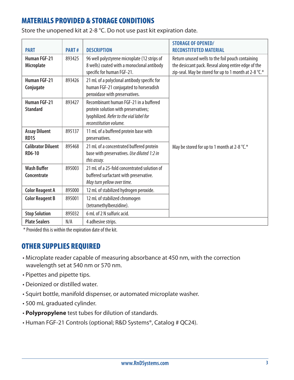## MATERIALS PROVIDED & STORAGE CONDITIONS

| Store the unopened kit at 2-8 °C. Do not use past kit expiration date. |  |  |
|------------------------------------------------------------------------|--|--|
|------------------------------------------------------------------------|--|--|

| <b>PART</b>                                | PART#  | <b>DESCRIPTION</b>                                                                                                                                   | <b>STORAGE OF OPENED/</b><br><b>RECONSTITUTED MATERIAL</b>                                                                                                       |
|--------------------------------------------|--------|------------------------------------------------------------------------------------------------------------------------------------------------------|------------------------------------------------------------------------------------------------------------------------------------------------------------------|
| <b>Human FGF-21</b><br><b>Microplate</b>   | 893425 | 96 well polystyrene microplate (12 strips of<br>8 wells) coated with a monoclonal antibody<br>specific for human FGF-21.                             | Return unused wells to the foil pouch containing<br>the desiccant pack. Reseal along entire edge of the<br>zip-seal. May be stored for up to 1 month at 2-8 °C.* |
| <b>Human FGF-21</b><br>Conjugate           | 893426 | 21 mL of a polyclonal antibody specific for<br>human FGF-21 conjugated to horseradish<br>peroxidase with preservatives.                              |                                                                                                                                                                  |
| <b>Human FGF-21</b><br><b>Standard</b>     | 893427 | Recombinant human FGF-21 in a buffered<br>protein solution with preservatives;<br>lyophilized. Refer to the vial label for<br>reconstitution volume. |                                                                                                                                                                  |
| <b>Assay Diluent</b><br>RD <sub>15</sub>   | 895137 | 11 mL of a buffered protein base with<br>preservatives.                                                                                              |                                                                                                                                                                  |
| <b>Calibrator Diluent</b><br><b>RD6-10</b> | 895468 | 21 mL of a concentrated buffered protein<br>base with preservatives. Use diluted 1:2 in<br>this assay.                                               | May be stored for up to 1 month at 2-8 °C.*                                                                                                                      |
| <b>Wash Buffer</b><br><b>Concentrate</b>   | 895003 | 21 mL of a 25-fold concentrated solution of<br>buffered surfactant with preservative.<br>May turn yellow over time.                                  |                                                                                                                                                                  |
| <b>Color Reagent A</b>                     | 895000 | 12 mL of stabilized hydrogen peroxide.                                                                                                               |                                                                                                                                                                  |
| <b>Color Reagent B</b>                     | 895001 | 12 mL of stabilized chromogen<br>(tetramethylbenzidine).                                                                                             |                                                                                                                                                                  |
| <b>Stop Solution</b>                       | 895032 | 6 mL of 2 N sulfuric acid.                                                                                                                           |                                                                                                                                                                  |
| <b>Plate Sealers</b>                       | N/A    | 4 adhesive strips.                                                                                                                                   |                                                                                                                                                                  |

\* Provided this is within the expiration date of the kit.

#### OTHER SUPPLIES REQUIRED

- Microplate reader capable of measuring absorbance at 450 nm, with the correction wavelength set at 540 nm or 570 nm.
- Pipettes and pipette tips.
- Deionized or distilled water.
- Squirt bottle, manifold dispenser, or automated microplate washer.
- 500 mL graduated cylinder.
- **Polypropylene** test tubes for dilution of standards.
- Human FGF-21 Controls (optional; R&D Systems®, Catalog # QC24).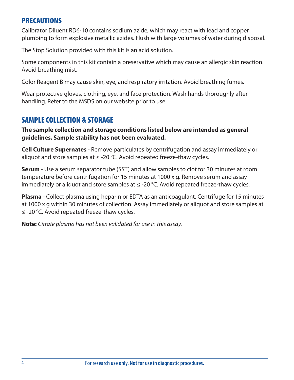#### PRECAUTIONS

Calibrator Diluent RD6-10 contains sodium azide, which may react with lead and copper plumbing to form explosive metallic azides. Flush with large volumes of water during disposal.

The Stop Solution provided with this kit is an acid solution.

Some components in this kit contain a preservative which may cause an allergic skin reaction. Avoid breathing mist.

Color Reagent B may cause skin, eye, and respiratory irritation. Avoid breathing fumes.

Wear protective gloves, clothing, eye, and face protection. Wash hands thoroughly after handling. Refer to the MSDS on our website prior to use.

#### SAMPLE COLLECTION & STORAGE

**The sample collection and storage conditions listed below are intended as general guidelines. Sample stability has not been evaluated.**

**Cell Culture Supernates** - Remove particulates by centrifugation and assay immediately or aliquot and store samples at  $\leq$  -20 °C. Avoid repeated freeze-thaw cycles.

**Serum** - Use a serum separator tube (SST) and allow samples to clot for 30 minutes at room temperature before centrifugation for 15 minutes at 1000 x g. Remove serum and assay immediately or aliquot and store samples at  $\leq$  -20 °C. Avoid repeated freeze-thaw cycles.

**Plasma** - Collect plasma using heparin or EDTA as an anticoagulant. Centrifuge for 15 minutes at 1000 x g within 30 minutes of collection. Assay immediately or aliquot and store samples at ≤ -20 °C. Avoid repeated freeze-thaw cycles.

**Note:** *Citrate plasma has not been validated for use in this assay.*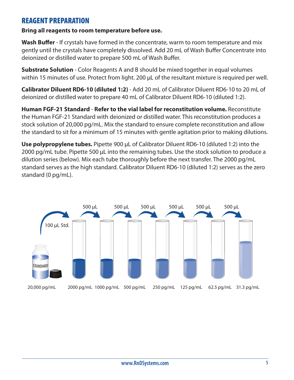#### REAGENT PREPARATION

#### **Bring all reagents to room temperature before use.**

**Wash Buffer** - If crystals have formed in the concentrate, warm to room temperature and mix gently until the crystals have completely dissolved. Add 20 mL of Wash Buffer Concentrate into deionized or distilled water to prepare 500 mL of Wash Buffer.

**Substrate Solution** - Color Reagents A and B should be mixed together in equal volumes within 15 minutes of use. Protect from light. 200 μL of the resultant mixture is required per well.

**Calibrator Diluent RD6-10 (diluted 1:2)** - Add 20 mL of Calibrator Diluent RD6-10 to 20 mL of deionized or distilled water to prepare 40 mL of Calibrator Diluent RD6-10 (diluted 1:2).

**Human FGF-21 Standard** - **Refer to the vial label for reconstitution volume.** Reconstitute the Human FGF-21 Standard with deionized or distilled water. This reconstitution produces a stock solution of 20,000 pg/mL. Mix the standard to ensure complete reconstitution and allow the standard to sit for a minimum of 15 minutes with gentle agitation prior to making dilutions.

**Use polypropylene tubes.** Pipette 900 μL of Calibrator Diluent RD6-10 (diluted 1:2) into the 2000 pg/mL tube. Pipette 500 μL into the remaining tubes. Use the stock solution to produce a dilution series (below). Mix each tube thoroughly before the next transfer. The 2000 pg/mL standard serves as the high standard. Calibrator Diluent RD6-10 (diluted 1:2) serves as the zero standard (0 pg/mL).

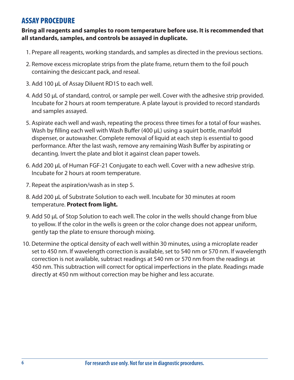#### ASSAY PROCEDURE

#### **Bring all reagents and samples to room temperature before use. It is recommended that all standards, samples, and controls be assayed in duplicate.**

- 1. Prepare all reagents, working standards, and samples as directed in the previous sections.
- 2. Remove excess microplate strips from the plate frame, return them to the foil pouch containing the desiccant pack, and reseal.
- 3. Add 100 μL of Assay Diluent RD1S to each well.
- 4. Add 50 μL of standard, control, or sample per well. Cover with the adhesive strip provided. Incubate for 2 hours at room temperature. A plate layout is provided to record standards and samples assayed.
- 5. Aspirate each well and wash, repeating the process three times for a total of four washes. Wash by filling each well with Wash Buffer (400 μL) using a squirt bottle, manifold dispenser, or autowasher. Complete removal of liquid at each step is essential to good performance. After the last wash, remove any remaining Wash Buffer by aspirating or decanting. Invert the plate and blot it against clean paper towels.
- 6. Add 200 μL of Human FGF-21 Conjugate to each well. Cover with a new adhesive strip. Incubate for 2 hours at room temperature.
- 7. Repeat the aspiration/wash as in step 5.
- 8. Add 200 μL of Substrate Solution to each well. Incubate for 30 minutes at room temperature. **Protect from light.**
- 9. Add 50 μL of Stop Solution to each well. The color in the wells should change from blue to yellow. If the color in the wells is green or the color change does not appear uniform, gently tap the plate to ensure thorough mixing.
- 10. Determine the optical density of each well within 30 minutes, using a microplate reader set to 450 nm. If wavelength correction is available, set to 540 nm or 570 nm. If wavelength correction is not available, subtract readings at 540 nm or 570 nm from the readings at 450 nm. This subtraction will correct for optical imperfections in the plate. Readings made directly at 450 nm without correction may be higher and less accurate.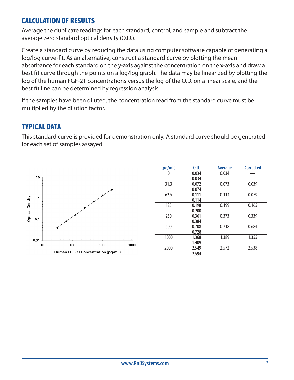#### CALCULATION OF RESULTS

Average the duplicate readings for each standard, control, and sample and subtract the average zero standard optical density (O.D.).

Create a standard curve by reducing the data using computer software capable of generating a log/log curve-fit. As an alternative, construct a standard curve by plotting the mean absorbance for each standard on the y-axis against the concentration on the x-axis and draw a best fit curve through the points on a log/log graph. The data may be linearized by plotting the log of the human FGF-21 concentrations versus the log of the O.D. on a linear scale, and the best fit line can be determined by regression analysis.

If the samples have been diluted, the concentration read from the standard curve must be multiplied by the dilution factor.

#### TYPICAL DATA

This standard curve is provided for demonstration only. A standard curve should be generated for each set of samples assayed.



| (pq/mL)      | 0.D.  | Average | <b>Corrected</b> |
|--------------|-------|---------|------------------|
| $\mathbf{0}$ | 0.034 | 0.034   |                  |
|              | 0.034 |         |                  |
| 31.3         | 0.072 | 0.073   | 0.039            |
|              | 0.074 |         |                  |
| 62.5         | 0.111 | 0.113   | 0.079            |
|              | 0.114 |         |                  |
| 125          | 0.198 | 0.199   | 0.165            |
|              | 0.200 |         |                  |
| 250          | 0.361 | 0.373   | 0.339            |
|              | 0.384 |         |                  |
| 500          | 0.708 | 0.718   | 0.684            |
|              | 0.728 |         |                  |
| 1000         | 1.368 | 1.389   | 1.355            |
|              | 1.409 |         |                  |
| 2000         | 2.549 | 2.572   | 2.538            |
|              | 2.594 |         |                  |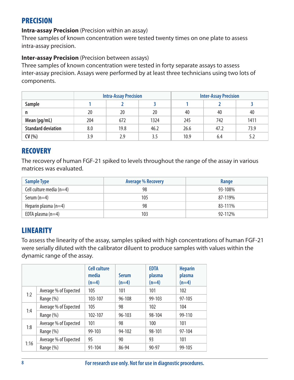#### PRECISION

**Intra-assay Precision** (Precision within an assay)

Three samples of known concentration were tested twenty times on one plate to assess intra-assay precision.

#### **Inter-assay Precision** (Precision between assays)

Three samples of known concentration were tested in forty separate assays to assess inter-assay precision. Assays were performed by at least three technicians using two lots of components.

|                           | <b>Intra-Assay Precision</b> |      |      |      | <b>Inter-Assay Precision</b> |      |
|---------------------------|------------------------------|------|------|------|------------------------------|------|
| Sample                    |                              |      |      |      |                              |      |
| n                         | 20                           | 20   | 20   | 40   | 40                           | 40   |
| Mean (pg/mL)              | 204                          | 672  | 1324 | 245  | 742                          | 1411 |
| <b>Standard deviation</b> | 8.0                          | 19.8 | 46.2 | 26.6 | 47.2                         | 73.9 |
| CV(%)                     | 3.9                          | 2.9  | 3.5  | 10.9 | 6.4                          | 5.2  |

#### **RECOVERY**

The recovery of human FGF-21 spiked to levels throughout the range of the assay in various matrices was evaluated.

| <b>Sample Type</b>         | <b>Average % Recovery</b> | Range   |
|----------------------------|---------------------------|---------|
| Cell culture media $(n=4)$ | 98                        | 93-108% |
| Serum $(n=4)$              | 105                       | 87-119% |
| Heparin plasma $(n=4)$     | 98                        | 83-111% |
| EDTA plasma $(n=4)$        | 103                       | 92-112% |

## **LINEARITY**

To assess the linearity of the assay, samples spiked with high concentrations of human FGF-21 were serially diluted with the calibrator diluent to produce samples with values within the dynamic range of the assay.

|      |                       | <b>Cell culture</b><br>media<br>$(n=4)$ | <b>Serum</b><br>$(n=4)$ | <b>EDTA</b><br>plasma<br>$(n=4)$ | <b>Heparin</b><br>plasma<br>$(n=4)$ |
|------|-----------------------|-----------------------------------------|-------------------------|----------------------------------|-------------------------------------|
| 1:2  | Average % of Expected | 105                                     | 101                     | 101                              | 102                                 |
|      | Range (%)             | 103-107                                 | $96 - 108$              | 99-103                           | 97-105                              |
|      | Average % of Expected | 105                                     | 98                      | 102                              | 104                                 |
| 1:4  | Range (%)             | 102-107                                 | $96 - 103$              | 98-104                           | 99-110                              |
|      | Average % of Expected | 101                                     | 98                      | 100                              | 101                                 |
| 1:8  | Range (%)             | 99-103                                  | 94-102                  | 98-101                           | 97-104                              |
|      | Average % of Expected | 95                                      | 90                      | 93                               | 101                                 |
| 1:16 | Range (%)             | 91-104                                  | 86-94                   | 90-97                            | 99-105                              |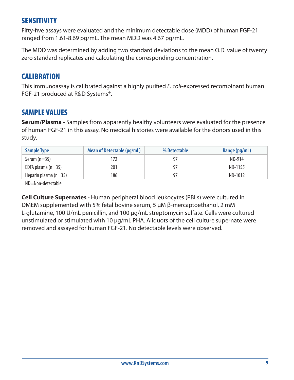#### SENSITIVITY

Fifty-five assays were evaluated and the minimum detectable dose (MDD) of human FGF-21 ranged from 1.61-8.69 pg/mL. The mean MDD was 4.67 pg/mL.

The MDD was determined by adding two standard deviations to the mean O.D. value of twenty zero standard replicates and calculating the corresponding concentration.

## **CALIBRATION**

This immunoassay is calibrated against a highly purified *E. coli*-expressed recombinant human FGF-21 produced at R&D Systems®.

#### SAMPLE VALUES

**Serum/Plasma** - Samples from apparently healthy volunteers were evaluated for the presence of human FGF-21 in this assay. No medical histories were available for the donors used in this study.

| <b>Sample Type</b>      | <b>Mean of Detectable (pg/mL)</b><br>% Detectable |     | Range (pg/mL) |
|-------------------------|---------------------------------------------------|-----|---------------|
| Serum $(n=35)$          | 172                                               | -97 | ND-914        |
| EDTA plasma $(n=35)$    | 201                                               | -97 | ND-1155       |
| Heparin plasma $(n=35)$ | 186                                               | 97  | ND-1012       |

ND=Non-detectable

**Cell Culture Supernates** - Human peripheral blood leukocytes (PBLs) were cultured in DMEM supplemented with 5% fetal bovine serum, 5 μM β-mercaptoethanol, 2 mM L-glutamine, 100 U/mL penicillin, and 100 μg/mL streptomycin sulfate. Cells were cultured unstimulated or stimulated with 10 μg/mL PHA. Aliquots of the cell culture supernate were removed and assayed for human FGF-21. No detectable levels were observed.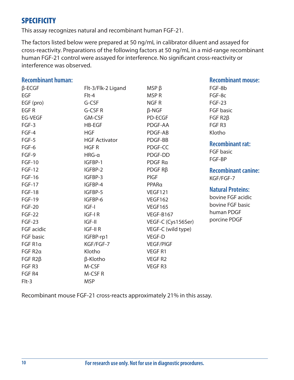#### **SPECIFICITY**

This assay recognizes natural and recombinant human FGF-21.

The factors listed below were prepared at 50 ng/mL in calibrator diluent and assayed for cross-reactivity. Preparations of the following factors at 50 ng/mL in a mid-range recombinant human FGF-21 control were assayed for interference. No significant cross-reactivity or interference was observed.

#### **Recombinant human:** β-ECGF EGF EGF (pro) EGF R EG-VEGF FGF-3 FGF-4 FGF-5 FGF-6 FGF-9 FGF-10 FGF-12 FGF-16 FGF-17 FGF-18 FGF-19 FGF-20 FGF-22 FGF-23 FGF acidic FGF basic FGF R1α FGF R2α FGF R2β FGF R3 FGF R4 Flt-3/Flk-2 Ligand Flt-4 G-CSF G-CSF R GM-CSF HB-EGF **HGF** HGF Activator HGF R HRG-α IGFBP-1 IGFBP-2 IGFBP-3 IGFBP-4 IGFBP-5 IGFBP-6 IGF-I IGF-I R IGF-II IGF-II R IGFBP-rp1 KGF/FGF-7 Klotho β-Klotho M-CSF M-CSF R MSP β MSP R NGF R β-NGF PD-ECGF PDGF-AA PDGF-AB PDGF-BB PDGF-CC PDGF-DD PDGF Rα PDGF Rβ PlGF PPARα VEGF121 VEGF162 VEGF165 VEGF-B167 VEGF-C (Cys156Ser) VEGF-C (wild type) VEGF-D VEGF/PlGF VEGF R1 VEGF R2 VEGF R3 **Recombinant mouse:** FGF-8b FGF-8c FGF-23 FGF basic FGF R2β FGF R3 Klotho **Recombinant rat:** FGF basic FGF-BP **Recombinant canine:** KGF/FGF-7 **Natural Proteins:** bovine FGF acidic bovine FGF basic human PDGF porcine PDGF

Recombinant mouse FGF-21 cross-reacts approximately 21% in this assay.

MSP

Flt-3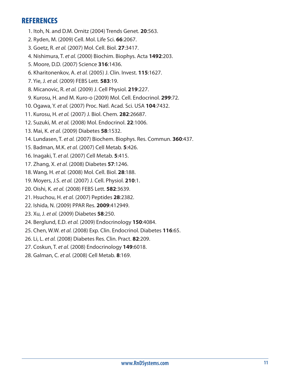#### REFERENCES

- 1. Itoh, N. and D.M. Ornitz (2004) Trends Genet. **20**:563.
- 2. Ryden, M. (2009) Cell. Mol. Life Sci. **66**:2067.
- 3. Goetz, R. *et al.* (2007) Mol. Cell. Biol. **27**:3417.
- 4. Nishimura, T. *et al.* (2000) Biochim. Biophys. Acta **1492**:203.
- 5. Moore, D.D. (2007) Science **316**:1436.
- 6. Kharitonenkov, A. *et al.* (2005) J. Clin. Invest. **115**:1627.
- 7. Yie, J. *et al.* (2009) FEBS Lett. **583**:19.
- 8. Micanovic, R. *et al.* (2009) J. Cell Physiol. **219**:227.
- 9. Kurosu, H. and M. Kuro-o (2009) Mol. Cell. Endocrinol. **299**:72.
- 10. Ogawa, Y. *et al.* (2007) Proc. Natl. Acad. Sci. USA **104**:7432.
- 11. Kurosu, H. *et al.* (2007) J. Biol. Chem. **282**:26687.
- 12. Suzuki, M. *et al.* (2008) Mol. Endocrinol. **22**:1006.
- 13. Mai, K. *et al.* (2009) Diabetes **58**:1532.
- 14. Lundasen, T. *et al.* (2007) Biochem. Biophys. Res. Commun. **360**:437.
- 15. Badman, M.K. *et al.* (2007) Cell Metab. **5**:426.
- 16. Inagaki, T. *et al.* (2007) Cell Metab. **5**:415.
- 17. Zhang, X. *et al.* (2008) Diabetes **57**:1246.
- 18. Wang, H. *et al.* (2008) Mol. Cell. Biol. **28**:188.
- 19. Moyers, J.S. *et al.* (2007) J. Cell. Physiol. **210**:1.
- 20. Oishi, K. *et al.* (2008) FEBS Lett. **582**:3639.
- 21. Hsuchou, H. *et al.* (2007) Peptides **28**:2382.
- 22. Ishida, N. (2009) PPAR Res. **2009**:412949.
- 23. Xu, J. *et al.* (2009) Diabetes **58**:250.
- 24. Berglund, E.D. *et al.* (2009) Endocrinology **150**:4084.
- 25. Chen, W.W. *et al.* (2008) Exp. Clin. Endocrinol. Diabetes **116**:65.
- 26. Li, L. *et al.* (2008) Diabetes Res. Clin. Pract. **82**:209.
- 27. Coskun, T. *et al.* (2008) Endocrinology **149**:6018.
- 28. Galman, C. *et al.* (2008) Cell Metab. **8**:169.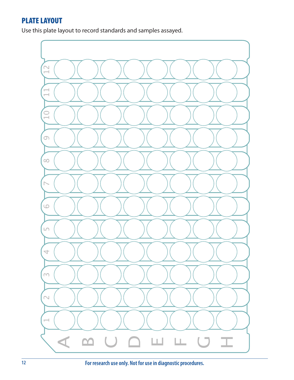#### PLATE LAYOUT

Use this plate layout to record standards and samples assayed.

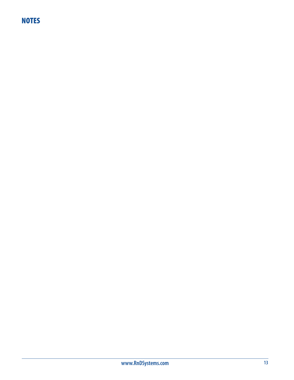## **NOTES**